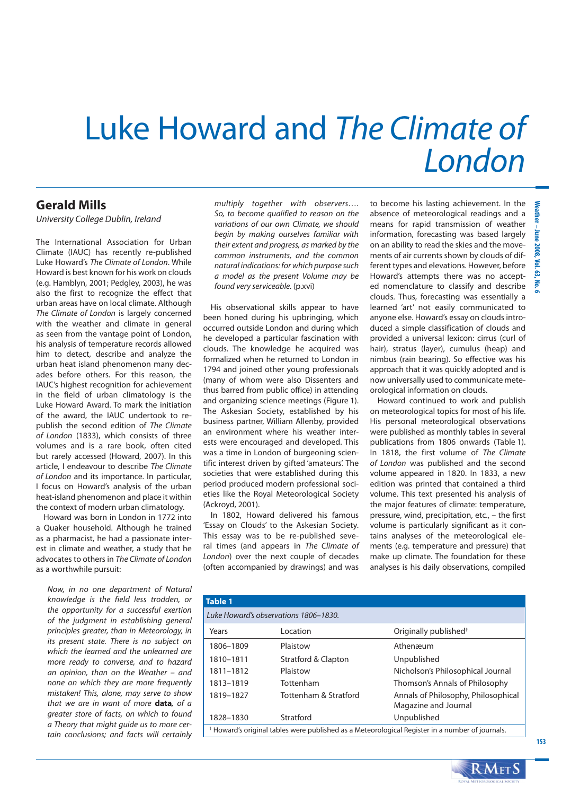# Luke Howard and The Climate of London

# **Gerald Mills**

University College Dublin, Ireland

The International Association for Urban Climate (IAUC) has recently re-published Luke Howard's The Climate of London. While Howard is best known for his work on clouds (e.g. Hamblyn, 2001; Pedgley, 2003), he was also the first to recognize the effect that urban areas have on local climate. Although The Climate of London is largely concerned with the weather and climate in general as seen from the vantage point of London, his analysis of temperature records allowed him to detect, describe and analyze the urban heat island phenomenon many decades before others. For this reason, the IAUC's highest recognition for achievement in the field of urban climatology is the Luke Howard Award. To mark the initiation of the award, the IAUC undertook to republish the second edition of The Climate of London (1833), which consists of three volumes and is a rare book, often cited but rarely accessed (Howard, 2007). In this article, I endeavour to describe The Climate of London and its importance. In particular, I focus on Howard's analysis of the urban heat-island phenomenon and place it within the context of modern urban climatology.

Howard was born in London in 1772 into a Quaker household. Although he trained as a pharmacist, he had a passionate interest in climate and weather, a study that he advocates to others in The Climate of London as a worthwhile pursuit:

Now, in no one department of Natural knowledge is the field less trodden, or the opportunity for a successful exertion of the judgment in establishing general principles greater, than in Meteorology, in its present state. There is no subject on which the learned and the unlearned are more ready to converse, and to hazard an opinion, than on the Weather – and none on which they are more frequently mistaken! This, alone, may serve to show that we are in want of more **data**, of a greater store of facts, on which to found a Theory that might guide us to more certain conclusions; and facts will certainly multiply together with observers…. So, to become qualified to reason on the variations of our own Climate, we should begin by making ourselves familiar with their extent and progress, as marked by the common instruments, and the common natural indications: for which purpose such a model as the present Volume may be found very serviceable. (p.xvi)

His observational skills appear to have been honed during his upbringing, which occurred outside London and during which he developed a particular fascination with clouds. The knowledge he acquired was formalized when he returned to London in 1794 and joined other young professionals (many of whom were also Dissenters and thus barred from public office) in attending and organizing science meetings (Figure 1). The Askesian Society, established by his business partner, William Allenby, provided an environment where his weather interests were encouraged and developed. This was a time in London of burgeoning scientific interest driven by gifted 'amateurs'. The societies that were established during this period produced modern professional societies like the Royal Meteorological Society (Ackroyd, 2001).

In 1802, Howard delivered his famous 'Essay on Clouds' to the Askesian Society. This essay was to be re-published several times (and appears in The Climate of London) over the next couple of decades (often accompanied by drawings) and was

to become his lasting achievement. In the absence of meteorological readings and a means for rapid transmission of weather information, forecasting was based largely on an ability to read the skies and the movements of air currents shown by clouds of different types and elevations. However, before Howard's attempts there was no accepted nomenclature to classify and describe clouds. Thus, forecasting was essentially a learned 'art' not easily communicated to anyone else. Howard's essay on clouds introduced a simple classification of clouds and provided a universal lexicon: cirrus (curl of hair), stratus (layer), cumulus (heap) and nimbus (rain bearing). So effective was his approach that it was quickly adopted and is now universally used to communicate meteorological information on clouds.

**Weather – June 2008, Vol. 63, No. 6** 

롱

Weather - June 2008, Vol. 63,

Howard continued to work and publish on meteorological topics for most of his life. His personal meteorological observations were published as monthly tables in several publications from 1806 onwards (Table 1). In 1818, the first volume of The Climate of London was published and the second volume appeared in 1820. In 1833, a new edition was printed that contained a third volume. This text presented his analysis of the major features of climate: temperature, pressure, wind, precipitation, etc., – the first volume is particularly significant as it contains analyses of the meteorological elements (e.g. temperature and pressure) that make up climate. The foundation for these analyses is his daily observations, compiled

| <b>Table 1</b>                                                                                             |                       |                                     |  |  |
|------------------------------------------------------------------------------------------------------------|-----------------------|-------------------------------------|--|--|
| Luke Howard's observations 1806–1830.                                                                      |                       |                                     |  |  |
| Years                                                                                                      | Location              | Originally published <sup>+</sup>   |  |  |
| 1806-1809                                                                                                  | Plaistow              | Athenæum                            |  |  |
| 1810-1811                                                                                                  | Stratford & Clapton   | Unpublished                         |  |  |
| 1811-1812                                                                                                  | Plaistow              | Nicholson's Philosophical Journal   |  |  |
| 1813-1819                                                                                                  | Tottenham             | Thomson's Annals of Philosophy      |  |  |
| 1819-1827                                                                                                  | Tottenham & Stratford | Annals of Philosophy, Philosophical |  |  |
|                                                                                                            |                       | Magazine and Journal                |  |  |
| 1828-1830                                                                                                  | Stratford             | Unpublished                         |  |  |
| <sup>†</sup> Howard's original tables were published as a Meteorological Register in a number of journals. |                       |                                     |  |  |

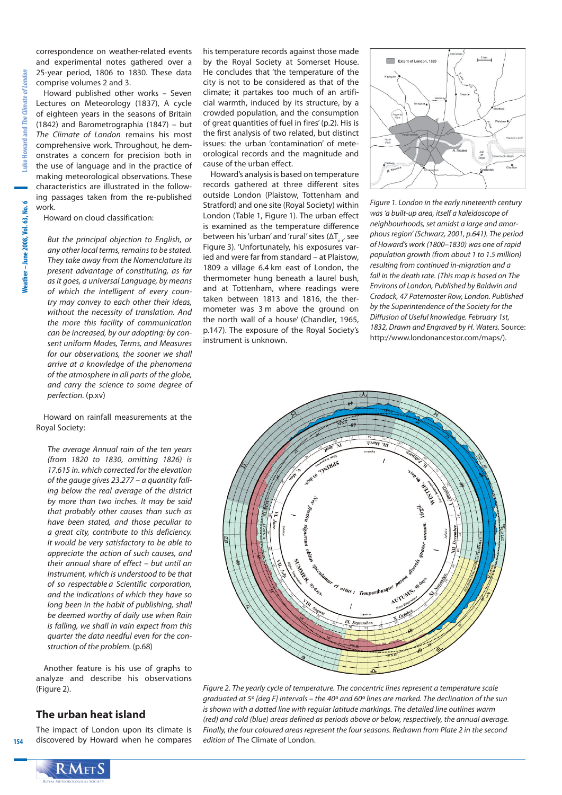correspondence on weather-related events and experimental notes gathered over a 25-year period, 1806 to 1830. These data comprise volumes 2 and 3.

Howard published other works – Seven Lectures on Meteorology (1837), A cycle of eighteen years in the seasons of Britain (1842) and Barometrographia (1847) – but The Climate of London remains his most comprehensive work. Throughout, he demonstrates a concern for precision both in the use of language and in the practice of making meteorological observations. These characteristics are illustrated in the following passages taken from the re-published work.

Howard on cloud classification:

But the principal objection to English, or any other local terms, remains to be stated. They take away from the Nomenclature its present advantage of constituting, as far as it goes, a universal Language, by means of which the intelligent of every country may convey to each other their ideas, without the necessity of translation. And the more this facility of communication can be increased, by our adopting: by consent uniform Modes, Terms, and Measures for our observations, the sooner we shall arrive at a knowledge of the phenomena of the atmosphere in all parts of the globe, and carry the science to some degree of perfection. (p.xv)

Howard on rainfall measurements at the Royal Society:

The average Annual rain of the ten years (from 1820 to 1830, omitting 1826) is 17.615 in. which corrected for the elevation of the gauge gives 23.277 – a quantity falling below the real average of the district by more than two inches. It may be said that probably other causes than such as have been stated, and those peculiar to a great city, contribute to this deficiency. It would be very satisfactory to be able to appreciate the action of such causes, and their annual share of effect – but until an Instrument, which is understood to be that of so respectable a Scientific corporation, and the indications of which they have so long been in the habit of publishing, shall be deemed worthy of daily use when Rain is falling, we shall in vain expect from this quarter the data needful even for the construction of the problem. (p.68)

Another feature is his use of graphs to analyze and describe his observations (Figure 2).

### **The urban heat island**

The impact of London upon its climate is discovered by Howard when he compares his temperature records against those made by the Royal Society at Somerset House. He concludes that 'the temperature of the city is not to be considered as that of the climate; it partakes too much of an artificial warmth, induced by its structure, by a crowded population, and the consumption of great quantities of fuel in fires' (p.2). His is the first analysis of two related, but distinct issues: the urban 'contamination' of meteorological records and the magnitude and cause of the urban effect.

Howard's analysis is based on temperature records gathered at three different sites outside London (Plaistow, Tottenham and Stratford) and one site (Royal Society) within London (Table 1, Figure 1). The urban effect is examined as the temperature difference between his 'urban' and 'rural' sites  $(\Delta T_{u,d})$  see Figure 3). 'Unfortunately, his exposures varied and were far from standard – at Plaistow, 1809 a village 6.4 km east of London, the thermometer hung beneath a laurel bush, and at Tottenham, where readings were taken between 1813 and 1816, the thermometer was 3 m above the ground on the north wall of a house' (Chandler, 1965, p.147). The exposure of the Royal Society's instrument is unknown.



Figure 1. London in the early nineteenth century was 'a built-up area, itself a kaleidoscope of neighbourhoods, set amidst a large and amorphous region' (Schwarz, 2001, p.641). The period of Howard's work (1800–1830) was one of rapid population growth (from about 1 to 1.5 million) resulting from continued in-migration and a fall in the death rate. (This map is based on The Environs of London, Published by Baldwin and Cradock, 47 Paternoster Row, London. Published by the Superintendence of the Society for the Diffusion of Useful knowledge. February 1st, 1832, Drawn and Engraved by H. Waters. Source: http://www.londonancestor.com/maps/).





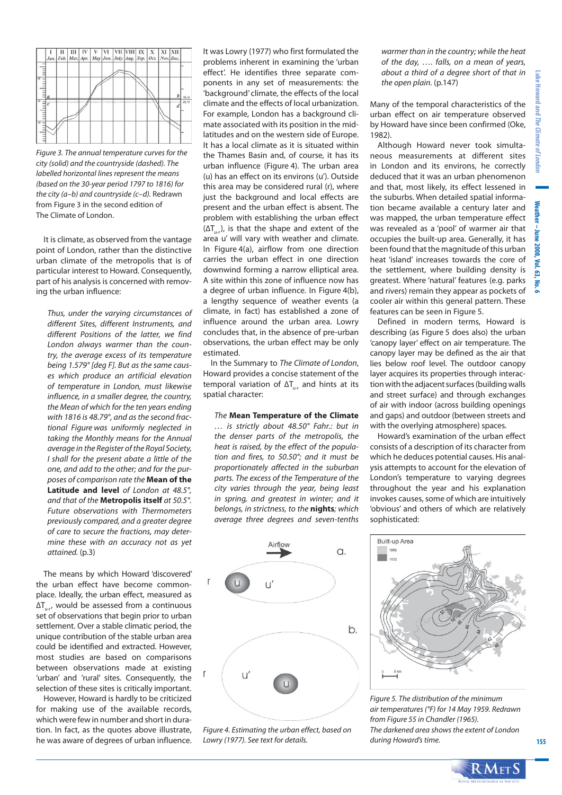$M_0.6$ 



Figure 3. The annual temperature curves for the city (solid) and the countryside (dashed). The labelled horizontal lines represent the means (based on the 30-year period 1797 to 1816) for the city (a–b) and countryside (c–d). Redrawn from Figure 3 in the second edition of The Climate of London.

It is climate, as observed from the vantage point of London, rather than the distinctive urban climate of the metropolis that is of particular interest to Howard. Consequently, part of his analysis is concerned with removing the urban influence:

Thus, under the varying circumstances of different Sites, different Instruments, and different Positions of the latter, we find London always warmer than the country, the average excess of its temperature being 1.579° [deg F]. But as the same causes which produce an artificial elevation of temperature in London, must likewise influence, in a smaller degree, the country, the Mean of which for the ten years ending with 1816 is 48.79°, and as the second fractional Figure was uniformly neglected in taking the Monthly means for the Annual average in the Register of the Royal Society, I shall for the present abate a little of the one, and add to the other; and for the purposes of comparison rate the **Mean of the Latitude and level** of London at 48.5°, and that of the **Metropolis itself** at 50.5°. Future observations with Thermometers previously compared, and a greater degree of care to secure the fractions, may determine these with an accuracy not as yet attained. (p.3)

The means by which Howard 'discovered' the urban effect have become commonplace. Ideally, the urban effect, measured as  $\Delta T_{\text{unr}}$ , would be assessed from a continuous set of observations that begin prior to urban settlement. Over a stable climatic period, the unique contribution of the stable urban area could be identified and extracted. However, most studies are based on comparisons between observations made at existing 'urban' and 'rural' sites. Consequently, the selection of these sites is critically important.

However, Howard is hardly to be criticized for making use of the available records, which were few in number and short in duration. In fact, as the quotes above illustrate, he was aware of degrees of urban influence. It was Lowry (1977) who first formulated the problems inherent in examining the 'urban effect'. He identifies three separate components in any set of measurements: the 'background' climate, the effects of the local climate and the effects of local urbanization. For example, London has a background climate associated with its position in the midlatitudes and on the western side of Europe. It has a local climate as it is situated within the Thames Basin and, of course, it has its urban influence (Figure 4). The urban area (u) has an effect on its environs (u'). Outside this area may be considered rural (r), where just the background and local effects are present and the urban effect is absent. The problem with establishing the urban effect  $(\Delta T_{\text{max}})$ , is that the shape and extent of the area u' will vary with weather and climate. In Figure 4(a), airflow from one direction carries the urban effect in one direction downwind forming a narrow elliptical area. A site within this zone of influence now has a degree of urban influence. In Figure 4(b), a lengthy sequence of weather events (a climate, in fact) has established a zone of influence around the urban area. Lowry concludes that, in the absence of pre-urban observations, the urban effect may be only estimated.

In the Summary to The Climate of London, Howard provides a concise statement of the temporal variation of  $\Delta T_{\text{max}}$  and hints at its spatial character:

#### The **Mean Temperature of the Climate**

… is strictly about 48.50° Fahr.: but in the denser parts of the metropolis, the heat is raised, by the effect of the population and fires, to 50.50°; and it must be proportionately affected in the suburban parts. The excess of the Temperature of the city varies through the year, being least in spring, and greatest in winter; and it belongs, in strictness, to the **nights**; which average three degrees and seven-tenths



Many of the temporal characteristics of the urban effect on air temperature observed by Howard have since been confirmed (Oke, 1982).

Although Howard never took simultaneous measurements at different sites in London and its environs, he correctly deduced that it was an urban phenomenon and that, most likely, its effect lessened in the suburbs. When detailed spatial information became available a century later and was mapped, the urban temperature effect was revealed as a 'pool' of warmer air that occupies the built-up area. Generally, it has been found that the magnitude of this urban heat 'island' increases towards the core of the settlement, where building density is greatest. Where 'natural' features (e.g. parks and rivers) remain they appear as pockets of cooler air within this general pattern. These features can be seen in Figure 5.

Defined in modern terms, Howard is describing (as Figure 5 does also) the urban 'canopy layer' effect on air temperature. The canopy layer may be defined as the air that lies below roof level. The outdoor canopy layer acquires its properties through interaction with the adjacent surfaces (building walls and street surface) and through exchanges of air with indoor (across building openings and gaps) and outdoor (between streets and with the overlying atmosphere) spaces.

Howard's examination of the urban effect consists of a description of its character from which he deduces potential causes. His analysis attempts to account for the elevation of London's temperature to varying degrees throughout the year and his explanation invokes causes, some of which are intuitively 'obvious' and others of which are relatively sophisticated:



Figure 4. Estimating the urban effect, based on Lowry (1977). See text for details.



Figure 5. The distribution of the minimum air temperatures (°F) for 14 May 1959. Redrawn from Figure 55 in Chandler (1965). The darkened area shows the extent of London during Howard's time.

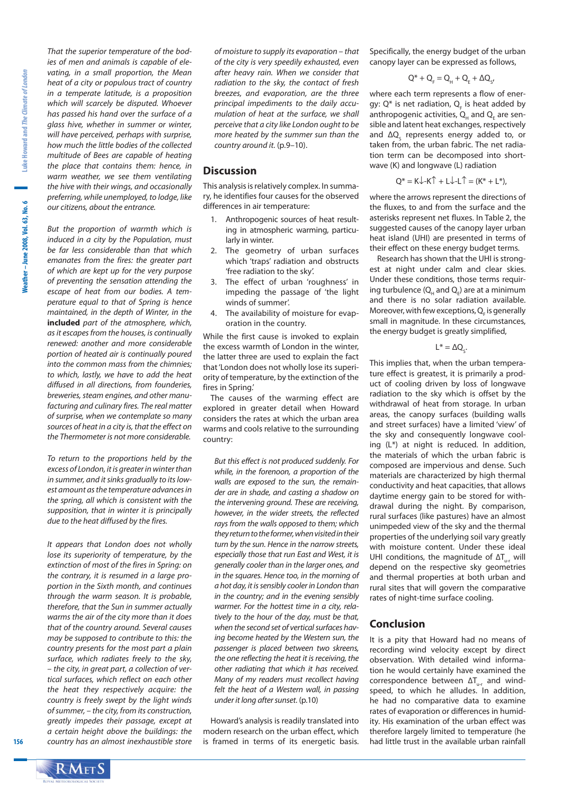That the superior temperature of the bodies of men and animals is capable of elevating, in a small proportion, the Mean heat of a city or populous tract of country in a temperate latitude, is a proposition which will scarcely be disputed. Whoever has passed his hand over the surface of a glass hive, whether in summer or winter, will have perceived, perhaps with surprise, how much the little bodies of the collected multitude of Bees are capable of heating the place that contains them: hence, in warm weather, we see them ventilating the hive with their wings, and occasionally preferring, while unemployed, to lodge, like our citizens, about the entrance.

But the proportion of warmth which is induced in a city by the Population, must be far less considerable than that which emanates from the fires: the greater part of which are kept up for the very purpose of preventing the sensation attending the escape of heat from our bodies. A temperature equal to that of Spring is hence maintained, in the depth of Winter, in the **included** part of the atmosphere, which, as it escapes from the houses, is continually renewed: another and more considerable portion of heated air is continually poured into the common mass from the chimnies; to which, lastly, we have to add the heat diffused in all directions, from founderies, breweries, steam engines, and other manufacturing and culinary fires. The real matter of surprise, when we contemplate so many sources of heat in a city is, that the effect on the Thermometer is not more considerable.

To return to the proportions held by the excess of London, it is greater in winter than in summer, and it sinks gradually to its lowest amount as the temperature advances in the spring, all which is consistent with the supposition, that in winter it is principally due to the heat diffused by the fires.

It appears that London does not wholly lose its superiority of temperature, by the extinction of most of the fires in Spring: on the contrary, it is resumed in a large proportion in the Sixth month, and continues through the warm season. It is probable, therefore, that the Sun in summer actually warms the air of the city more than it does that of the country around. Several causes may be supposed to contribute to this: the country presents for the most part a plain surface, which radiates freely to the sky, – the city, in great part, a collection of vertical surfaces, which reflect on each other the heat they respectively acquire: the country is freely swept by the light winds of summer, – the city, from its construction, greatly impedes their passage, except at a certain height above the buildings: the country has an almost inexhaustible store of moisture to supply its evaporation – that of the city is very speedily exhausted, even after heavy rain. When we consider that radiation to the sky, the contact of fresh breezes, and evaporation, are the three principal impediments to the daily accumulation of heat at the surface, we shall perceive that a city like London ought to be more heated by the summer sun than the country around it. (p.9–10).

# **Discussion**

This analysis is relatively complex. In summary, he identifies four causes for the observed differences in air temperature:

- 1. Anthropogenic sources of heat resulting in atmospheric warming, particularly in winter.
- 2. The geometry of urban surfaces which 'traps' radiation and obstructs 'free radiation to the sky'.
- 3. The effect of urban 'roughness' in impeding the passage of 'the light winds of summer'.
- 4. The availability of moisture for evaporation in the country.

While the first cause is invoked to explain the excess warmth of London in the winter, the latter three are used to explain the fact that 'London does not wholly lose its superiority of temperature, by the extinction of the fires in Spring.'

The causes of the warming effect are explored in greater detail when Howard considers the rates at which the urban area warms and cools relative to the surrounding country:

But this effect is not produced suddenly. For while, in the forenoon, a proportion of the walls are exposed to the sun, the remainder are in shade, and casting a shadow on the intervening ground. These are receiving, however, in the wider streets, the reflected rays from the walls opposed to them; which they return to the former, when visited in their turn by the sun. Hence in the narrow streets, especially those that run East and West, it is generally cooler than in the larger ones, and in the squares. Hence too, in the morning of a hot day, it is sensibly cooler in London than in the country; and in the evening sensibly warmer. For the hottest time in a city, relatively to the hour of the day, must be that, when the second set of vertical surfaces having become heated by the Western sun, the passenger is placed between two skreens, the one reflecting the heat it is receiving, the other radiating that which it has received. Many of my readers must recollect having felt the heat of a Western wall, in passing under it long after sunset. (p.10)

Howard's analysis is readily translated into modern research on the urban effect, which is framed in terms of its energetic basis. Specifically, the energy budget of the urban canopy layer can be expressed as follows,

$$
Q^* + Q_{F} = Q_{H} + Q_{E} + \Delta Q_{S'}
$$

where each term represents a flow of energy:  $Q^*$  is net radiation,  $Q_F$  is heat added by anthropogenic activities,  $Q_H$  and  $Q_E$  are sensible and latent heat exchanges, respectively and  $\Delta Q_{s}$  represents energy added to, or taken from, the urban fabric. The net radiation term can be decomposed into shortwave (K) and longwave (L) radiation

$$
Q^* = K\mathord{\downarrow} \text{-} K\mathord{\uparrow} + L\mathord{\downarrow} \text{-} L\mathord{\uparrow} = (K^* + L^*),
$$

where the arrows represent the directions of the fluxes, to and from the surface and the asterisks represent net fluxes. In Table 2, the suggested causes of the canopy layer urban heat island (UHI) are presented in terms of their effect on these energy budget terms.

Research has shown that the UHI is strongest at night under calm and clear skies. Under these conditions, those terms requiring turbulence ( $Q_H$  and  $Q_E$ ) are at a minimum and there is no solar radiation available. Moreover, with few exceptions,  $Q_{F}$  is generally small in magnitude. In these circumstances, the energy budget is greatly simplified,

# $L^* = \Delta Q_{S}$

This implies that, when the urban temperature effect is greatest, it is primarily a product of cooling driven by loss of longwave radiation to the sky which is offset by the withdrawal of heat from storage. In urban areas, the canopy surfaces (building walls and street surfaces) have a limited 'view' of the sky and consequently longwave cooling (L\*) at night is reduced. In addition, the materials of which the urban fabric is composed are impervious and dense. Such materials are characterized by high thermal conductivity and heat capacities, that allows daytime energy gain to be stored for withdrawal during the night. By comparison, rural surfaces (like pastures) have an almost unimpeded view of the sky and the thermal properties of the underlying soil vary greatly with moisture content. Under these ideal UHI conditions, the magnitude of  $\Delta T_{\text{max}}$  will depend on the respective sky geometries and thermal properties at both urban and rural sites that will govern the comparative rates of night-time surface cooling.

# **Conclusion**

It is a pity that Howard had no means of recording wind velocity except by direct observation. With detailed wind information he would certainly have examined the correspondence between  $\Delta T_{\mu\nu}$  and windspeed, to which he alludes. In addition, he had no comparative data to examine rates of evaporation or differences in humidity. His examination of the urban effect was therefore largely limited to temperature (he had little trust in the available urban rainfall